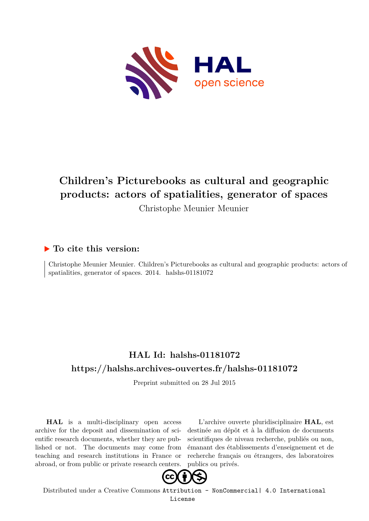

# **Children's Picturebooks as cultural and geographic products: actors of spatialities, generator of spaces**

Christophe Meunier Meunier

# **To cite this version:**

Christophe Meunier Meunier. Children's Picturebooks as cultural and geographic products: actors of spatialities, generator of spaces.  $2014$ . halshs-01181072

# **HAL Id: halshs-01181072 <https://halshs.archives-ouvertes.fr/halshs-01181072>**

Preprint submitted on 28 Jul 2015

**HAL** is a multi-disciplinary open access archive for the deposit and dissemination of scientific research documents, whether they are published or not. The documents may come from teaching and research institutions in France or abroad, or from public or private research centers.

L'archive ouverte pluridisciplinaire **HAL**, est destinée au dépôt et à la diffusion de documents scientifiques de niveau recherche, publiés ou non, émanant des établissements d'enseignement et de recherche français ou étrangers, des laboratoires publics ou privés.



Distributed under a Creative Commons [Attribution - NonCommercial| 4.0 International](http://creativecommons.org/licenses/by-nc/4.0/) [License](http://creativecommons.org/licenses/by-nc/4.0/)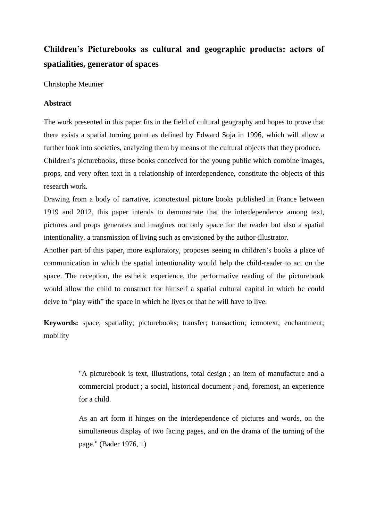# **Children's Picturebooks as cultural and geographic products: actors of spatialities, generator of spaces**

Christophe Meunier

# **Abstract**

The work presented in this paper fits in the field of cultural geography and hopes to prove that there exists a spatial turning point as defined by Edward Soja in 1996, which will allow a further look into societies, analyzing them by means of the cultural objects that they produce. Children"s picturebooks, these books conceived for the young public which combine images, props, and very often text in a relationship of interdependence, constitute the objects of this

research work.

Drawing from a body of narrative, iconotextual picture books published in France between 1919 and 2012, this paper intends to demonstrate that the interdependence among text, pictures and props generates and imagines not only space for the reader but also a spatial intentionality, a transmission of living such as envisioned by the author-illustrator.

Another part of this paper, more exploratory, proposes seeing in children"s books a place of communication in which the spatial intentionality would help the child-reader to act on the space. The reception, the esthetic experience, the performative reading of the picturebook would allow the child to construct for himself a spatial cultural capital in which he could delve to "play with" the space in which he lives or that he will have to live.

**Keywords:** space; spatiality; picturebooks; transfer; transaction; iconotext; enchantment; mobility

> "A picturebook is text, illustrations, total design ; an item of manufacture and a commercial product ; a social, historical document ; and, foremost, an experience for a child.

> As an art form it hinges on the interdependence of pictures and words, on the simultaneous display of two facing pages, and on the drama of the turning of the page." (Bader 1976, 1)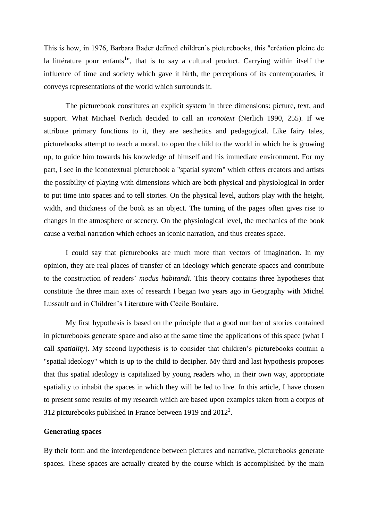This is how, in 1976, Barbara Bader defined children"s picturebooks, this "création pleine de la littérature pour enfants<sup>1</sup>", that is to say a cultural product. Carrying within itself the influence of time and society which gave it birth, the perceptions of its contemporaries, it conveys representations of the world which surrounds it.

The picturebook constitutes an explicit system in three dimensions: picture, text, and support. What Michael Nerlich decided to call an *iconotext* (Nerlich 1990, 255). If we attribute primary functions to it, they are aesthetics and pedagogical. Like fairy tales, picturebooks attempt to teach a moral, to open the child to the world in which he is growing up, to guide him towards his knowledge of himself and his immediate environment. For my part, I see in the iconotextual picturebook a "spatial system" which offers creators and artists the possibility of playing with dimensions which are both physical and physiological in order to put time into spaces and to tell stories. On the physical level, authors play with the height, width, and thickness of the book as an object. The turning of the pages often gives rise to changes in the atmosphere or scenery. On the physiological level, the mechanics of the book cause a verbal narration which echoes an iconic narration, and thus creates space.

I could say that picturebooks are much more than vectors of imagination. In my opinion, they are real places of transfer of an ideology which generate spaces and contribute to the construction of readers" *modus habitandi*. This theory contains three hypotheses that constitute the three main axes of research I began two years ago in Geography with Michel Lussault and in Children"s Literature with Cécile Boulaire.

My first hypothesis is based on the principle that a good number of stories contained in picturebooks generate space and also at the same time the applications of this space (what I call *spatiality*). My second hypothesis is to consider that children"s picturebooks contain a "spatial ideology" which is up to the child to decipher. My third and last hypothesis proposes that this spatial ideology is capitalized by young readers who, in their own way, appropriate spatiality to inhabit the spaces in which they will be led to live. In this article, I have chosen to present some results of my research which are based upon examples taken from a corpus of 312 picturebooks published in France between 1919 and  $2012^2$ .

# **Generating spaces**

By their form and the interdependence between pictures and narrative, picturebooks generate spaces. These spaces are actually created by the course which is accomplished by the main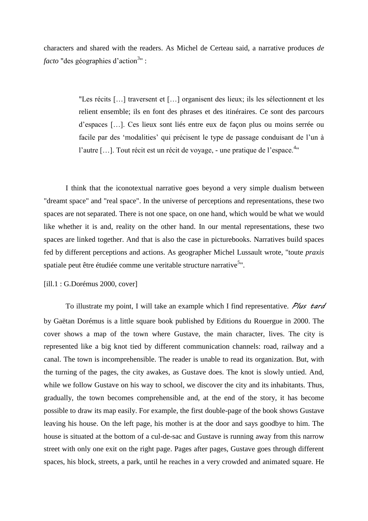characters and shared with the readers. As Michel de Certeau said, a narrative produces *de facto* "des géographies d'action<sup>3</sup>" :

> "Les récits […] traversent et […] organisent des lieux; ils les sélectionnent et les relient ensemble; ils en font des phrases et des itinéraires. Ce sont des parcours d"espaces […]. Ces lieux sont liés entre eux de façon plus ou moins serrée ou facile par des "modalities" qui précisent le type de passage conduisant de l"un à l'autre [...]. Tout récit est un récit de voyage, - une pratique de l'espace.<sup>4</sup>"

I think that the iconotextual narrative goes beyond a very simple dualism between "dreamt space" and "real space". In the universe of perceptions and representations, these two spaces are not separated. There is not one space, on one hand, which would be what we would like whether it is and, reality on the other hand. In our mental representations, these two spaces are linked together. And that is also the case in picturebooks. Narratives build spaces fed by different perceptions and actions. As geographer Michel Lussault wrote, "toute *praxis* spatiale peut être étudiée comme une veritable structure narrative<sup>5</sup>".

# [ill.1 : G.Dorémus 2000, cover]

To illustrate my point, I will take an example which I find representative. *Plus tard* by Gaëtan Dorémus is a little square book published by Editions du Rouergue in 2000. The cover shows a map of the town where Gustave, the main character, lives. The city is represented like a big knot tied by different communication channels: road, railway and a canal. The town is incomprehensible. The reader is unable to read its organization. But, with the turning of the pages, the city awakes, as Gustave does. The knot is slowly untied. And, while we follow Gustave on his way to school, we discover the city and its inhabitants. Thus, gradually, the town becomes comprehensible and, at the end of the story, it has become possible to draw its map easily. For example, the first double-page of the book shows Gustave leaving his house. On the left page, his mother is at the door and says goodbye to him. The house is situated at the bottom of a cul-de-sac and Gustave is running away from this narrow street with only one exit on the right page. Pages after pages, Gustave goes through different spaces, his block, streets, a park, until he reaches in a very crowded and animated square. He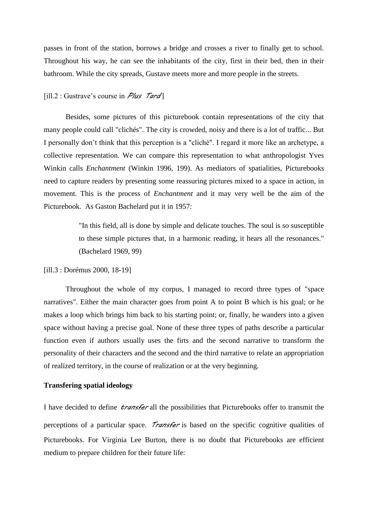passes in front of the station, borrows a bridge and crosses a river to finally get to school. Throughout his way, he can see the inhabitants of the city, first in their bed, then in their bathroom. While the city spreads, Gustave meets more and more people in the streets.

### [ill.2 : Gustrave"s course in *Plus Tard* ]

Besides, some pictures of this picturebook contain representations of the city that many people could call "clichés". The city is crowded, noisy and there is a lot of traffic... But I personally don"t think that this perception is a "cliché". I regard it more like an archetype, a collective representation. We can compare this representation to what anthropologist Yves Winkin calls *Enchantment* (Winkin 1996, 199). As mediators of spatialities, Picturebooks need to capture readers by presenting some reassuring pictures mixed to a space in action, in movement. This is the process of *Enchantment* and it may very well be the aim of the Picturebook. As Gaston Bachelard put it in 1957:

> "In this field, all is done by simple and delicate touches. The soul is so susceptible to these simple pictures that, in a harmonic reading, it hears all the resonances." (Bachelard 1969, 99)

## [ill.3 : Dorémus 2000, 18-19]

Throughout the whole of my corpus, I managed to record three types of "space narratives". Either the main character goes from point A to point B which is his goal; or he makes a loop which brings him back to his starting point; or, finally, he wanders into a given space without having a precise goal. None of these three types of paths describe a particular function even if authors usually uses the firts and the second narrative to transform the personality of their characters and the second and the third narrative to relate an appropriation of realized territory, in the course of realization or at the very beginning.

### **Transfering spatial ideology**

I have decided to define *transfer* all the possibilities that Picturebooks offer to transmit the perceptions of a particular space. *Transfer* is based on the specific cognitive qualities of Picturebooks. For Virginia Lee Burton, there is no doubt that Picturebooks are efficient medium to prepare children for their future life: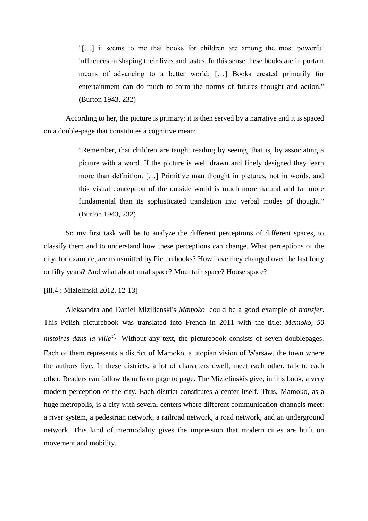"[…] it seems to me that books for children are among the most powerful influences in shaping their lives and tastes. In this sense these books are important means of advancing to a better world; […] Books created primarily for entertainment can do much to form the norms of futures thought and action." (Burton 1943, 232)

According to her, the picture is primary; it is then served by a narrative and it is spaced on a double-page that constitutes a cognitive mean:

> "Remember, that children are taught reading by seeing, that is, by associating a picture with a word. If the picture is well drawn and finely designed they learn more than definition. […] Primitive man thought in pictures, not in words, and this visual conception of the outside world is much more natural and far more fundamental than its sophisticated translation into verbal modes of thought." (Burton 1943, 232)

So my first task will be to analyze the different perceptions of different spaces, to classify them and to understand how these perceptions can change. What perceptions of the city, for example, are transmitted by Picturebooks? How have they changed over the last forty or fifty years? And what about rural space? Mountain space? House space?

[ill.4 : Mizielinski 2012, 12-13]

Aleksandra and Daniel Mizilienski's *Mamoko* could be a good example of *transfer*. This Polish picturebook was translated into French in 2011 with the title: *Mamoko, 50*  histoires dans la ville<sup>6</sup>. Without any text, the picturebook consists of seven doublepages. Each of them represents a district of Mamoko, a utopian vision of Warsaw, the town where the authors live. In these districts, a lot of characters dwell, meet each other, talk to each other. Readers can follow them from page to page. The Mizielinskis give, in this book, a very modern perception of the city. Each district constitutes a center itself. Thus, Mamoko, as a huge metropolis, is a city with several centers where different communication channels meet: a river system, a pedestrian network, a railroad network, a road network, and an underground network. This kind of intermodality gives the impression that modern cities are built on movement and mobility.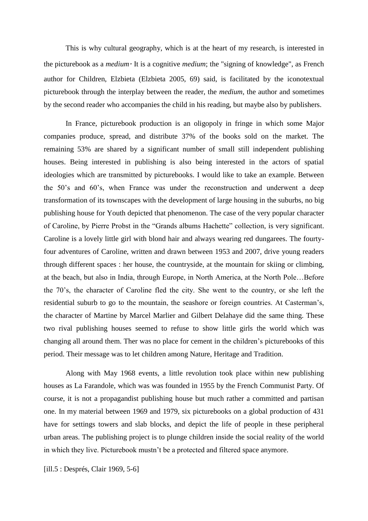This is why cultural geography, which is at the heart of my research, is interested in the picturebook as a *medium.* It is a cognitive *medium*; the "signing of knowledge", as French author for Children, Elzbieta (Elzbieta 2005, 69) said, is facilitated by the iconotextual picturebook through the interplay between the reader, the *medium*, the author and sometimes by the second reader who accompanies the child in his reading, but maybe also by publishers.

In France, picturebook production is an oligopoly in fringe in which some Major companies produce, spread, and distribute 37% of the books sold on the market. The remaining 53% are shared by a significant number of small still independent publishing houses. Being interested in publishing is also being interested in the actors of spatial ideologies which are transmitted by picturebooks. I would like to take an example. Between the 50"s and 60"s, when France was under the reconstruction and underwent a deep transformation of its townscapes with the development of large housing in the suburbs, no big publishing house for Youth depicted that phenomenon. The case of the very popular character of Caroline, by Pierre Probst in the "Grands albums Hachette" collection, is very significant. Caroline is a lovely little girl with blond hair and always wearing red dungarees. The fourtyfour adventures of Caroline, written and drawn between 1953 and 2007, drive young readers through different spaces : her house, the countryside, at the mountain for skiing or climbing, at the beach, but also in India, through Europe, in North America, at the North Pole…Before the 70"s, the character of Caroline fled the city. She went to the country, or she left the residential suburb to go to the mountain, the seashore or foreign countries. At Casterman"s, the character of Martine by Marcel Marlier and Gilbert Delahaye did the same thing. These two rival publishing houses seemed to refuse to show little girls the world which was changing all around them. Ther was no place for cement in the children"s picturebooks of this period. Their message was to let children among Nature, Heritage and Tradition.

Along with May 1968 events, a little revolution took place within new publishing houses as La Farandole, which was was founded in 1955 by the French Communist Party. Of course, it is not a propagandist publishing house but much rather a committed and partisan one. In my material between 1969 and 1979, six picturebooks on a global production of 431 have for settings towers and slab blocks, and depict the life of people in these peripheral urban areas. The publishing project is to plunge children inside the social reality of the world in which they live. Picturebook mustn"t be a protected and filtered space anymore.

[ill.5 : Després, Clair 1969, 5-6]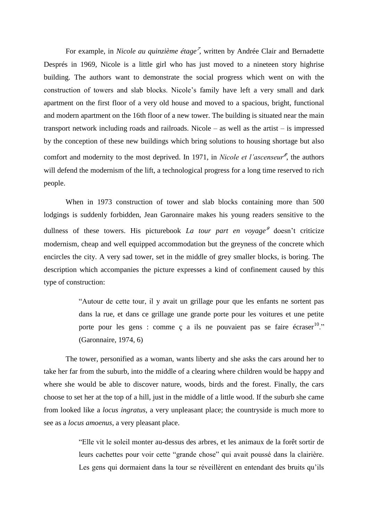For example, in *Nicole au quinzième étage<sup>7</sup>* , written by Andrée Clair and Bernadette Després in 1969, Nicole is a little girl who has just moved to a nineteen story highrise building. The authors want to demonstrate the social progress which went on with the construction of towers and slab blocks. Nicole"s family have left a very small and dark apartment on the first floor of a very old house and moved to a spacious, bright, functional and modern apartment on the 16th floor of a new tower. The building is situated near the main transport network including roads and railroads. Nicole – as well as the artist – is impressed by the conception of these new buildings which bring solutions to housing shortage but also comfort and modernity to the most deprived. In 1971, in *Nicole et l'ascenseur<sup>8</sup>* , the authors will defend the modernism of the lift, a technological progress for a long time reserved to rich people.

When in 1973 construction of tower and slab blocks containing more than 500 lodgings is suddenly forbidden, Jean Garonnaire makes his young readers sensitive to the dullness of these towers. His picturebook *La tour part en voyage<sup>9</sup>* doesn't criticize modernism, cheap and well equipped accommodation but the greyness of the concrete which encircles the city. A very sad tower, set in the middle of grey smaller blocks, is boring. The description which accompanies the picture expresses a kind of confinement caused by this type of construction:

> "Autour de cette tour, il y avait un grillage pour que les enfants ne sortent pas dans la rue, et dans ce grillage une grande porte pour les voitures et une petite porte pour les gens : comme  $\zeta$  a ils ne pouvaient pas se faire écraser<sup>10</sup>." (Garonnaire, 1974, 6)

The tower, personified as a woman, wants liberty and she asks the cars around her to take her far from the suburb, into the middle of a clearing where children would be happy and where she would be able to discover nature, woods, birds and the forest. Finally, the cars choose to set her at the top of a hill, just in the middle of a little wood. If the suburb she came from looked like a *locus ingratus*, a very unpleasant place; the countryside is much more to see as a *locus amoenus*, a very pleasant place.

> "Elle vit le soleil monter au-dessus des arbres, et les animaux de la forêt sortir de leurs cachettes pour voir cette "grande chose" qui avait poussé dans la clairière. Les gens qui dormaient dans la tour se réveillèrent en entendant des bruits qu'ils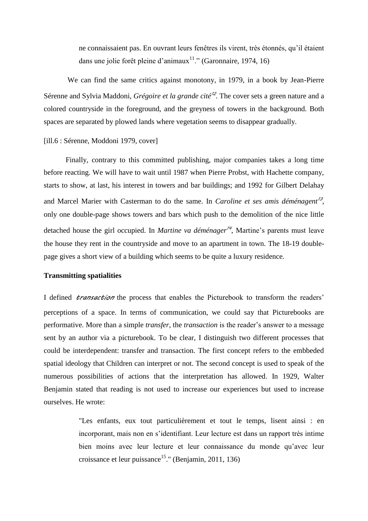ne connaissaient pas. En ouvrant leurs fenêtres ils virent, très étonnés, qu"il étaient dans une jolie forêt pleine d'animaux<sup>11</sup>." (Garonnaire, 1974, 16)

We can find the same critics against monotony, in 1979, in a book by Jean-Pierre Sérenne and Sylvia Maddoni, *Grégoire et la grande cité<sup>12</sup>* . The cover sets a green nature and a colored countryside in the foreground, and the greyness of towers in the background. Both spaces are separated by plowed lands where vegetation seems to disappear gradually.

[ill.6 : Sérenne, Moddoni 1979, cover]

Finally, contrary to this committed publishing, major companies takes a long time before reacting. We will have to wait until 1987 when Pierre Probst, with Hachette company, starts to show, at last, his interest in towers and bar buildings; and 1992 for Gilbert Delahay and Marcel Marier with Casterman to do the same. In *Caroline et ses amis déménagent<sup>13</sup>* , only one double-page shows towers and bars which push to the demolition of the nice little detached house the girl occupied. In *Martine va déménager<sup>14</sup>* , Martine"s parents must leave the house they rent in the countryside and move to an apartment in town. The 18-19 doublepage gives a short view of a building which seems to be quite a luxury residence.

# **Transmitting spatialities**

I defined *transaction* the process that enables the Picturebook to transform the readers" perceptions of a space. In terms of communication, we could say that Picturebooks are performative. More than a simple *transfer*, the *transaction* is the reader"s answer to a message sent by an author via a picturebook. To be clear, I distinguish two different processes that could be interdependent: transfer and transaction. The first concept refers to the embbeded spatial ideology that Children can interpret or not. The second concept is used to speak of the numerous possibilities of actions that the interpretation has allowed. In 1929, Walter Benjamin stated that reading is not used to increase our experiences but used to increase ourselves. He wrote:

> "Les enfants, eux tout particulièrement et tout le temps, lisent ainsi : en incorporant, mais non en s"identifiant. Leur lecture est dans un rapport très intime bien moins avec leur lecture et leur connaissance du monde qu"avec leur croissance et leur puissance<sup>15</sup>." (Benjamin, 2011, 136)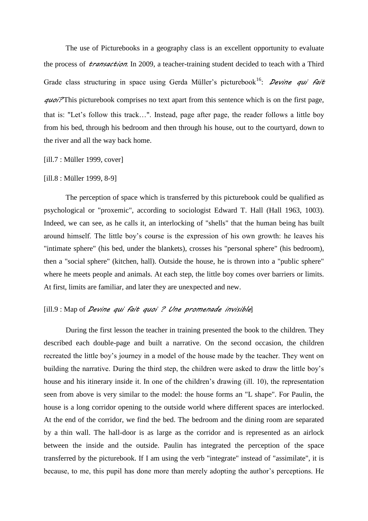The use of Picturebooks in a geography class is an excellent opportunity to evaluate the process of *transaction*. In 2009, a teacher-training student decided to teach with a Third Grade class structuring in space using Gerda Müller's picturebook<sup>16</sup>: *Devine qui fait quoi?* This picturebook comprises no text apart from this sentence which is on the first page, that is: "Let's follow this track...". Instead, page after page, the reader follows a little boy from his bed, through his bedroom and then through his house, out to the courtyard, down to the river and all the way back home.

#### [ill.7 : Müller 1999, cover]

#### [ill.8 : Müller 1999, 8-9]

The perception of space which is transferred by this picturebook could be qualified as psychological or "proxemic", according to sociologist Edward T. Hall (Hall 1963, 1003). Indeed, we can see, as he calls it, an interlocking of "shells" that the human being has built around himself. The little boy"s course is the expression of his own growth: he leaves his "intimate sphere" (his bed, under the blankets), crosses his "personal sphere" (his bedroom), then a "social sphere" (kitchen, hall). Outside the house, he is thrown into a "public sphere" where he meets people and animals. At each step, the little boy comes over barriers or limits. At first, limits are familiar, and later they are unexpected and new.

# [ill.9 : Map of *Devine qui fait quoi ? Une promenade invisible*]

During the first lesson the teacher in training presented the book to the children. They described each double-page and built a narrative. On the second occasion, the children recreated the little boy"s journey in a model of the house made by the teacher. They went on building the narrative. During the third step, the children were asked to draw the little boy"s house and his itinerary inside it. In one of the children's drawing (ill. 10), the representation seen from above is very similar to the model: the house forms an "L shape". For Paulin, the house is a long corridor opening to the outside world where different spaces are interlocked. At the end of the corridor, we find the bed. The bedroom and the dining room are separated by a thin wall. The hall-door is as large as the corridor and is represented as an airlock between the inside and the outside. Paulin has integrated the perception of the space transferred by the picturebook. If I am using the verb "integrate" instead of "assimilate", it is because, to me, this pupil has done more than merely adopting the author"s perceptions. He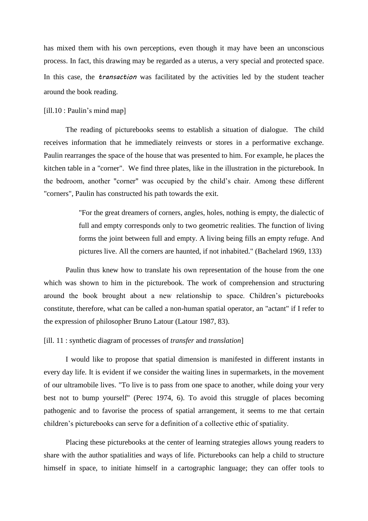has mixed them with his own perceptions, even though it may have been an unconscious process. In fact, this drawing may be regarded as a uterus, a very special and protected space. In this case, the *transaction* was facilitated by the activities led by the student teacher around the book reading.

#### [ill.10 : Paulin's mind map]

The reading of picturebooks seems to establish a situation of dialogue. The child receives information that he immediately reinvests or stores in a performative exchange. Paulin rearranges the space of the house that was presented to him. For example, he places the kitchen table in a "corner". We find three plates, like in the illustration in the picturebook. In the bedroom, another "corner" was occupied by the child"s chair. Among these different "corners", Paulin has constructed his path towards the exit.

> "For the great dreamers of corners, angles, holes, nothing is empty, the dialectic of full and empty corresponds only to two geometric realities. The function of living forms the joint between full and empty. A living being fills an empty refuge. And pictures live. All the corners are haunted, if not inhabited." (Bachelard 1969, 133)

Paulin thus knew how to translate his own representation of the house from the one which was shown to him in the picturebook. The work of comprehension and structuring around the book brought about a new relationship to space. Children"s picturebooks constitute, therefore, what can be called a non-human spatial operator, an "actant" if I refer to the expression of philosopher Bruno Latour (Latour 1987, 83).

# [ill. 11 : synthetic diagram of processes of *transfer* and *translation*]

I would like to propose that spatial dimension is manifested in different instants in every day life. It is evident if we consider the waiting lines in supermarkets, in the movement of our ultramobile lives. "To live is to pass from one space to another, while doing your very best not to bump yourself" (Perec 1974, 6). To avoid this struggle of places becoming pathogenic and to favorise the process of spatial arrangement, it seems to me that certain children"s picturebooks can serve for a definition of a collective ethic of spatiality.

Placing these picturebooks at the center of learning strategies allows young readers to share with the author spatialities and ways of life. Picturebooks can help a child to structure himself in space, to initiate himself in a cartographic language; they can offer tools to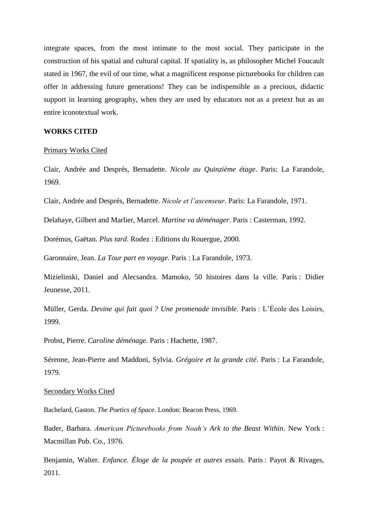integrate spaces, from the most intimate to the most social. They participate in the construction of his spatial and cultural capital. If spatiality is, as philosopher Michel Foucault stated in 1967, the evil of our time, what a magnificent response picturebooks for children can offer in addressing future generations! They can be indispensible as a precious, didactic support in learning geography, when they are used by educators not as a pretext but as an entire iconotextual work.

## **WORKS CITED**

#### Primary Works Cited

Clair, Andrée and Després, Bernadette. *Nicole au Quinzième étage*. Paris: La Farandole, 1969.

Clair, Andrée and Després, Bernadette. *Nicole et l'ascenseur*. Paris: La Farandole, 1971.

Delahaye, Gilbert and Marlier, Marcel. *Martine va déménager*. Paris : Casterman, 1992.

Dorémus, Gaëtan. *Plus tard*. Rodez : Editions du Rouergue, 2000.

Garonnaire, Jean. *La Tour part en voyage*. Paris : La Farandole, 1973.

Mizielinski, Daniel and Alecsandra. Mamoko, 50 histoires dans la ville. Paris : Didier Jeunesse, 2011.

Müller, Gerda. *Devine qui fait quoi ? Une promenade invisible*. Paris : L"École des Loisirs, 1999.

Probst, Pierre. *Caroline déménage*. Paris : Hachette, 1987.

Sérenne, Jean-Pierre and Maddoni, Sylvia. *Grégoire et la grande cité*. Paris : La Farandole, 1979.

#### Secondary Works Cited

Bachelard, Gaston. *The Poetics of Space*. London: Beacon Press, 1969.

Bader, Barbara. *American Picturebooks from Noah's Ark to the Beast Within*. New York : Macmillan Pub. Co., 1976.

Benjamin, Walter. *Enfance. Éloge de la poupée et autres essais*. Paris : Payot & Rivages, 2011.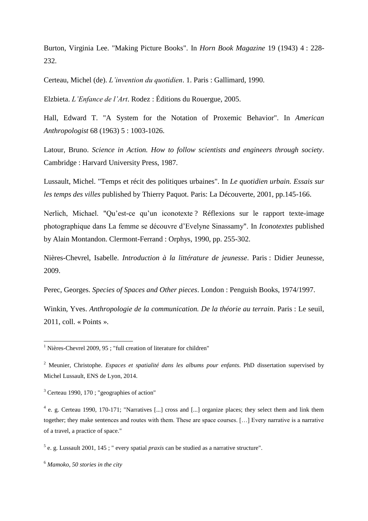Burton, Virginia Lee. "Making Picture Books". In *Horn Book Magazine* 19 (1943) 4 : 228- 232.

Certeau, Michel (de). *L'invention du quotidien*. 1. Paris : Gallimard, 1990.

Elzbieta. *L'Enfance de l'Art*. Rodez : Éditions du Rouergue, 2005.

Hall, Edward T. "A System for the Notation of Proxemic Behavior". In *American Anthropologist* 68 (1963) 5 : 1003-1026.

Latour, Bruno. *Science in Action. How to follow scientists and engineers through society*. Cambridge : Harvard University Press, 1987.

Lussault, Michel. "Temps et récit des politiques urbaines". In *Le quotidien urbain. Essais sur les temps des villes* published by Thierry Paquot. Paris: La Découverte, 2001, pp.145-166.

Nerlich, Michael. "Qu"est-ce qu"un iconotexte ? Réflexions sur le rapport texte-image photographique dans La femme se découvre d"Evelyne Sinassamy". In *Iconotextes* published by Alain Montandon. Clermont-Ferrand : Orphys, 1990, pp. 255-302.

Nières-Chevrel, Isabelle. *Introduction à la littérature de jeunesse*. Paris : Didier Jeunesse, 2009.

Perec, Georges. *Species of Spaces and Other pieces*. London : Penguish Books, 1974/1997.

Winkin, Yves. *Anthropologie de la communication. De la théorie au terrain*. Paris : Le seuil, 2011, coll. « Points ».

 $\overline{a}$ 

 $<sup>1</sup>$  Nières-Chevrel 2009, 95 ; "full creation of literature for children"</sup>

<sup>2</sup> Meunier, Christophe. *Espaces et spatialité dans les albums pour enfants*. PhD dissertation supervised by Michel Lussault, ENS de Lyon, 2014.

 $3$  Certeau 1990, 170; "geographies of action"

<sup>&</sup>lt;sup>4</sup> e. g. Certeau 1990, 170-171; "Narratives [...] cross and [...] organize places; they select them and link them together; they make sentences and routes with them. These are space courses. […] Every narrative is a narrative of a travel, a practice of space."

<sup>5</sup> e. g. Lussault 2001, 145 ; " every spatial *praxis* can be studied as a narrative structure".

<sup>6</sup> *Mamoko, 50 stories in the city*